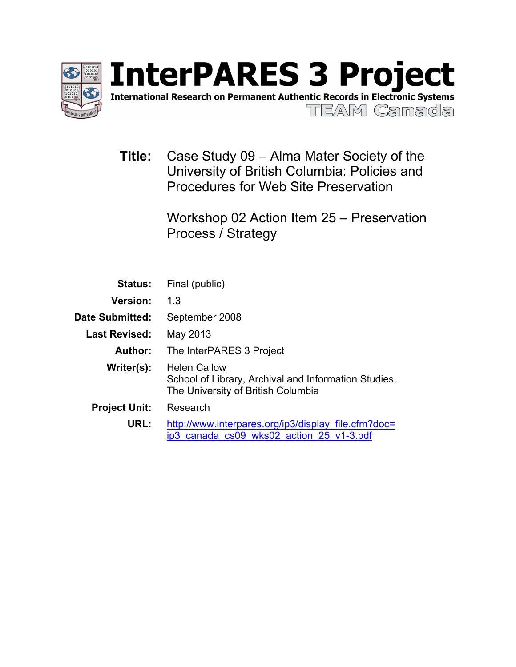

International Research on Permanent Authentic Records in Electronic Systems

**TIEAM Camada** 

**Title:** Case Study 09 – Alma Mater Society of the University of British Columbia: Policies and Procedures for Web Site Preservation

> Workshop 02 Action Item 25 – Preservation Process / Strategy

| <b>Status:</b>       | Final (public)                                                                                                    |  |  |  |
|----------------------|-------------------------------------------------------------------------------------------------------------------|--|--|--|
| <b>Version:</b>      | 1.3                                                                                                               |  |  |  |
| Date Submitted:      | September 2008                                                                                                    |  |  |  |
| <b>Last Revised:</b> | May 2013                                                                                                          |  |  |  |
| Author:              | The InterPARES 3 Project                                                                                          |  |  |  |
| Writer(s):           | <b>Helen Callow</b><br>School of Library, Archival and Information Studies,<br>The University of British Columbia |  |  |  |
| <b>Project Unit:</b> | Research                                                                                                          |  |  |  |
| URL:                 | http://www.interpares.org/ip3/display file.cfm?doc=<br>ip3 canada cs09 wks02 action 25 v1-3.pdf                   |  |  |  |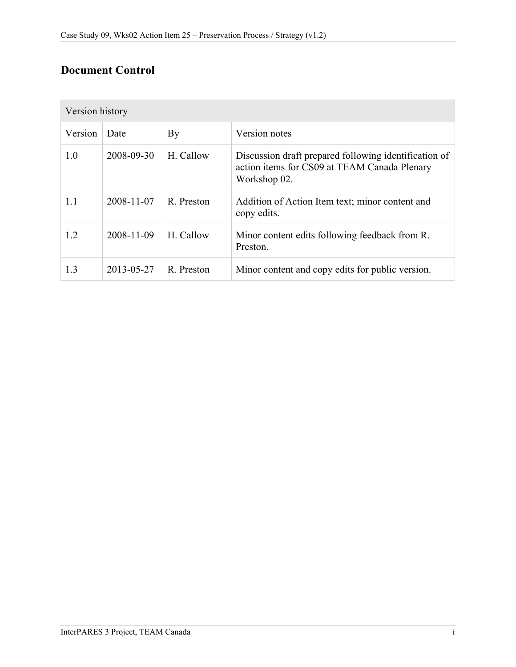## **Document Control**

| Version history |            |            |                                                                                                                       |  |
|-----------------|------------|------------|-----------------------------------------------------------------------------------------------------------------------|--|
| Version         | Date       | By         | Version notes                                                                                                         |  |
| 1.0             | 2008-09-30 | H. Callow  | Discussion draft prepared following identification of<br>action items for CS09 at TEAM Canada Plenary<br>Workshop 02. |  |
| 1.1             | 2008-11-07 | R. Preston | Addition of Action Item text; minor content and<br>copy edits.                                                        |  |
| 1.2             | 2008-11-09 | H. Callow  | Minor content edits following feedback from R.<br>Preston.                                                            |  |
| 1.3             | 2013-05-27 | R. Preston | Minor content and copy edits for public version.                                                                      |  |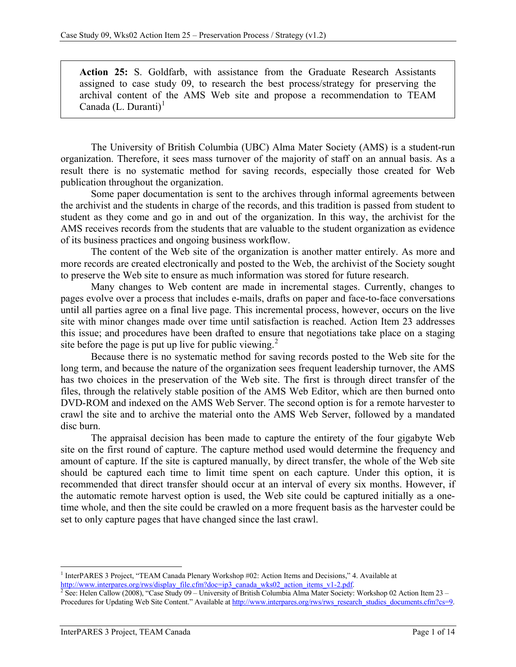**Action 25:** S. Goldfarb, with assistance from the Graduate Research Assistants assigned to case study 09, to research the best process/strategy for preserving the archival content of the AMS Web site and propose a recommendation to TEAM Canada  $(L.$  Duranti $)^{1}$  $)^{1}$  $)^{1}$ 

The University of British Columbia (UBC) Alma Mater Society (AMS) is a student-run organization. Therefore, it sees mass turnover of the majority of staff on an annual basis. As a result there is no systematic method for saving records, especially those created for Web publication throughout the organization.

Some paper documentation is sent to the archives through informal agreements between the archivist and the students in charge of the records, and this tradition is passed from student to student as they come and go in and out of the organization. In this way, the archivist for the AMS receives records from the students that are valuable to the student organization as evidence of its business practices and ongoing business workflow.

The content of the Web site of the organization is another matter entirely. As more and more records are created electronically and posted to the Web, the archivist of the Society sought to preserve the Web site to ensure as much information was stored for future research.

Many changes to Web content are made in incremental stages. Currently, changes to pages evolve over a process that includes e-mails, drafts on paper and face-to-face conversations until all parties agree on a final live page. This incremental process, however, occurs on the live site with minor changes made over time until satisfaction is reached. Action Item 23 addresses this issue; and procedures have been drafted to ensure that negotiations take place on a staging site before the page is put up live for public viewing.<sup>[2](#page-2-1)</sup>

Because there is no systematic method for saving records posted to the Web site for the long term, and because the nature of the organization sees frequent leadership turnover, the AMS has two choices in the preservation of the Web site. The first is through direct transfer of the files, through the relatively stable position of the AMS Web Editor, which are then burned onto DVD-ROM and indexed on the AMS Web Server. The second option is for a remote harvester to crawl the site and to archive the material onto the AMS Web Server, followed by a mandated disc burn.

The appraisal decision has been made to capture the entirety of the four gigabyte Web site on the first round of capture. The capture method used would determine the frequency and amount of capture. If the site is captured manually, by direct transfer, the whole of the Web site should be captured each time to limit time spent on each capture. Under this option, it is recommended that direct transfer should occur at an interval of every six months. However, if the automatic remote harvest option is used, the Web site could be captured initially as a onetime whole, and then the site could be crawled on a more frequent basis as the harvester could be set to only capture pages that have changed since the last crawl.

<span id="page-2-0"></span> <sup>1</sup> InterPARES 3 Project, "TEAM Canada Plenary Workshop #02: Action Items and Decisions," 4. Available at [http://www.interpares.org/rws/display\\_file.cfm?doc=ip3\\_canada\\_wks02\\_action\\_items\\_v1-2.pdf.](http://www.interpares.org/rws/display_file.cfm?doc=ip3_canada_wks02_action_items_v1-2.pdf) <sup>2</sup> See: Helen Callow (2008), "Case Study 09 – University of British Columbia Alma Mater Society: Workshop 02 Action Item 23 –

<span id="page-2-1"></span>Procedures for Updating Web Site Content." Available at http://www.interpares.org/rws/rws\_research\_studies\_documents.cfm?cs=9.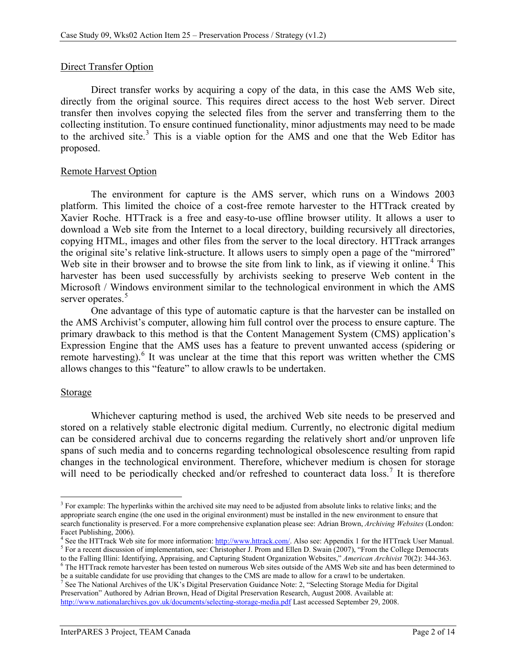## Direct Transfer Option

Direct transfer works by acquiring a copy of the data, in this case the AMS Web site, directly from the original source. This requires direct access to the host Web server. Direct transfer then involves copying the selected files from the server and transferring them to the collecting institution. To ensure continued functionality, minor adjustments may need to be made to the archived site. [3](#page-3-0) This is a viable option for the AMS and one that the Web Editor has proposed.

## Remote Harvest Option

The environment for capture is the AMS server, which runs on a Windows 2003 platform. This limited the choice of a cost-free remote harvester to the HTTrack created by Xavier Roche. HTTrack is a free and easy-to-use offline browser utility. It allows a user to download a Web site from the Internet to a local directory, building recursively all directories, copying HTML, images and other files from the server to the local directory. HTTrack arranges the original site's relative link-structure. It allows users to simply open a page of the "mirrored" Web site in their browser and to browse the site from link to link, as if viewing it online.<sup>[4](#page-3-1)</sup> This harvester has been used successfully by archivists seeking to preserve Web content in the Microsoft / Windows environment similar to the technological environment in which the AMS server operates.<sup>[5](#page-3-2)</sup>

One advantage of this type of automatic capture is that the harvester can be installed on the AMS Archivist's computer, allowing him full control over the process to ensure capture. The primary drawback to this method is that the Content Management System (CMS) application's Expression Engine that the AMS uses has a feature to prevent unwanted access (spidering or remote harvesting).<sup>[6](#page-3-3)</sup> It was unclear at the time that this report was written whether the CMS allows changes to this "feature" to allow crawls to be undertaken.

## Storage

Whichever capturing method is used, the archived Web site needs to be preserved and stored on a relatively stable electronic digital medium. Currently, no electronic digital medium can be considered archival due to concerns regarding the relatively short and/or unproven life spans of such media and to concerns regarding technological obsolescence resulting from rapid changes in the technological environment. Therefore, whichever medium is chosen for storage will need to be periodically checked and/or refreshed to counteract data loss.<sup>[7](#page-3-4)</sup> It is therefore

<span id="page-3-0"></span> $3$  For example: The hyperlinks within the archived site may need to be adjusted from absolute links to relative links; and the appropriate search engine (the one used in the original environment) must be installed in the new environment to ensure that search functionality is preserved. For a more comprehensive explanation please see: Adrian Brown, *Archiving Websites* (London:

<span id="page-3-1"></span><sup>&</sup>lt;sup>4</sup> See the HTTrack Web site for more information:  $\frac{http://www.htrack.com/}{http://www.htrack.com/}{\cal A}$ lso see: Appendix 1 for the HTTrack User Manual.<br><sup>5</sup> For a recent discussion of implementation, see: Christopher J. Prom and Ellen D. Swain (

<span id="page-3-2"></span><sup>&</sup>lt;sup>6</sup> The HTTrack remote harvester has been tested on numerous Web sites outside of the AMS Web site and has been determined to

<span id="page-3-3"></span>be a suitable candidate for use providing that changes to the CMS are made to allow for a crawl to be undertaken.<br><sup>7</sup> See The National Archives of the UK's Digital Preservation Guidance Note: 2, "Selecting Storage Media fo

<span id="page-3-4"></span>Preservation" Authored by Adrian Brown, Head of Digital Preservation Research, August 2008. Available at: <http://www.nationalarchives.gov.uk/documents/selecting-storage-media.pdf> Last accessed September 29, 2008.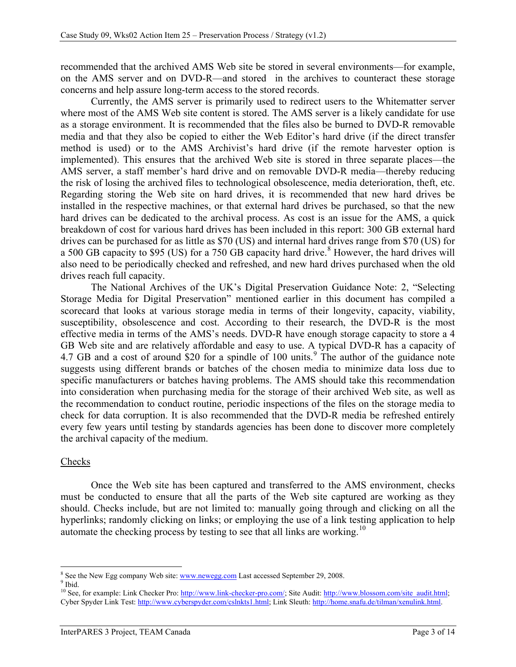recommended that the archived AMS Web site be stored in several environments—for example, on the AMS server and on DVD-R—and stored in the archives to counteract these storage concerns and help assure long-term access to the stored records.

Currently, the AMS server is primarily used to redirect users to the Whitematter server where most of the AMS Web site content is stored. The AMS server is a likely candidate for use as a storage environment. It is recommended that the files also be burned to DVD-R removable media and that they also be copied to either the Web Editor's hard drive (if the direct transfer method is used) or to the AMS Archivist's hard drive (if the remote harvester option is implemented). This ensures that the archived Web site is stored in three separate places—the AMS server, a staff member's hard drive and on removable DVD-R media—thereby reducing the risk of losing the archived files to technological obsolescence, media deterioration, theft, etc. Regarding storing the Web site on hard drives, it is recommended that new hard drives be installed in the respective machines, or that external hard drives be purchased, so that the new hard drives can be dedicated to the archival process. As cost is an issue for the AMS, a quick breakdown of cost for various hard drives has been included in this report: 300 GB external hard drives can be purchased for as little as \$70 (US) and internal hard drives range from \$70 (US) for a 500 GB capacity to \$95 (US) for a 750 GB capacity hard drive.<sup>[8](#page-4-0)</sup> However, the hard drives will also need to be periodically checked and refreshed, and new hard drives purchased when the old drives reach full capacity.

The National Archives of the UK's Digital Preservation Guidance Note: 2, "Selecting Storage Media for Digital Preservation" mentioned earlier in this document has compiled a scorecard that looks at various storage media in terms of their longevity, capacity, viability, susceptibility, obsolescence and cost. According to their research, the DVD-R is the most effective media in terms of the AMS's needs. DVD-R have enough storage capacity to store a 4 GB Web site and are relatively affordable and easy to use. A typical DVD-R has a capacity of 4.7 GB and a cost of around \$20 for a spindle of 100 units.<sup>[9](#page-4-1)</sup> The author of the guidance note suggests using different brands or batches of the chosen media to minimize data loss due to specific manufacturers or batches having problems. The AMS should take this recommendation into consideration when purchasing media for the storage of their archived Web site, as well as the recommendation to conduct routine, periodic inspections of the files on the storage media to check for data corruption. It is also recommended that the DVD-R media be refreshed entirely every few years until testing by standards agencies has been done to discover more completely the archival capacity of the medium.

## Checks

Once the Web site has been captured and transferred to the AMS environment, checks must be conducted to ensure that all the parts of the Web site captured are working as they should. Checks include, but are not limited to: manually going through and clicking on all the hyperlinks; randomly clicking on links; or employing the use of a link testing application to help automate the checking process by testing to see that all links are working.<sup>[10](#page-4-2)</sup>

<span id="page-4-1"></span><span id="page-4-0"></span> $^8$  See the New Egg company Web site[: www.newegg.com](http://www.newegg.com/) Last accessed September 29, 2008. 9 Ibid.

<span id="page-4-2"></span><sup>&</sup>lt;sup>10</sup> See, for example: Link Checker Pro[: http://www.link-checker-pro.com/;](http://www.link-checker-pro.com/) Site Audit: http://www.blossom.com/site\_audit.html; Cyber Spyder Link Test[: http://www.cyberspyder.com/cslnkts1.html;](http://www.cyberspyder.com/cslnkts1.html) Link Sleuth: [http://home.snafu.de/tilman/xenulink.html.](http://home.snafu.de/tilman/xenulink.html)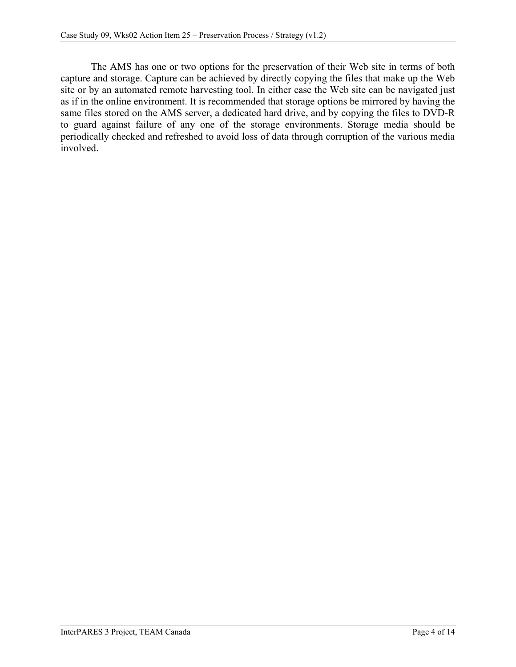The AMS has one or two options for the preservation of their Web site in terms of both capture and storage. Capture can be achieved by directly copying the files that make up the Web site or by an automated remote harvesting tool. In either case the Web site can be navigated just as if in the online environment. It is recommended that storage options be mirrored by having the same files stored on the AMS server, a dedicated hard drive, and by copying the files to DVD-R to guard against failure of any one of the storage environments. Storage media should be periodically checked and refreshed to avoid loss of data through corruption of the various media involved.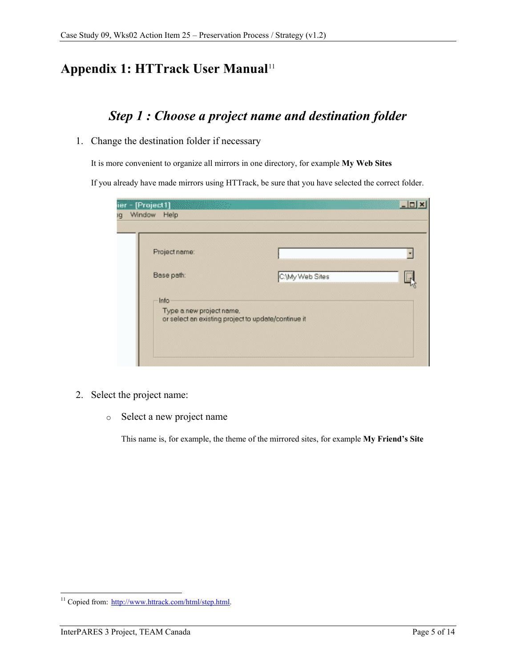## **Appendix 1: HTTrack User Manual**[11](#page-6-0)

## *Step 1 : Choose a project name and destination folder*

1. Change the destination folder if necessary

It is more convenient to organize all mirrors in one directory, for example **My Web Sites**

If you already have made mirrors using HTTrack, be sure that you have selected the correct folder.

| C.\My Web Sites |                                                     |
|-----------------|-----------------------------------------------------|
|                 |                                                     |
|                 | or select an existing project to update/continue it |

- 2. Select the project name:
	- o Select a new project name

This name is, for example, the theme of the mirrored sites, for example **My Friend's Site**

<span id="page-6-0"></span><sup>&</sup>lt;sup>11</sup> Copied from: [http://www.httrack.com/html/step.html.](http://www.httrack.com/html/step.html)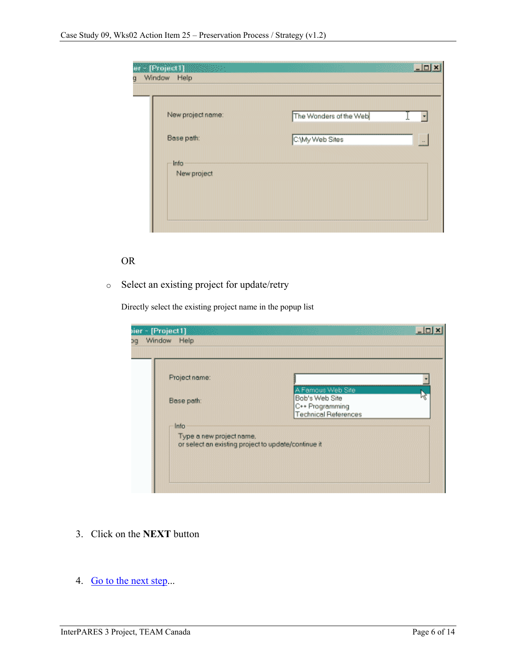| - [Project]] [ [ [ ]]<br>Window Help<br>g |                                          | $ \Box$ |
|-------------------------------------------|------------------------------------------|---------|
| New project name:<br>Base path:           | The Wonders of the Web<br>C.Wy Web Sites | $\sim$  |
| Info<br>New project                       |                                          |         |
|                                           |                                          |         |

## OR

o Select an existing project for update/retry

Directly select the existing project name in the popup list

| ier - [Project1]<br>Window<br>Help<br>pc                                                                               |                                                                                       |  |
|------------------------------------------------------------------------------------------------------------------------|---------------------------------------------------------------------------------------|--|
| Project name:<br>Base path:<br>Info<br>Type a new project name,<br>or select an existing project to update/continue it | A Famous Web Site<br>Bob's Web Site<br>C++ Programming<br><b>Technical References</b> |  |

- 3. Click on the **NEXT** button
- 4. [Go to the next step.](http://www.httrack.com/html/step2.html)..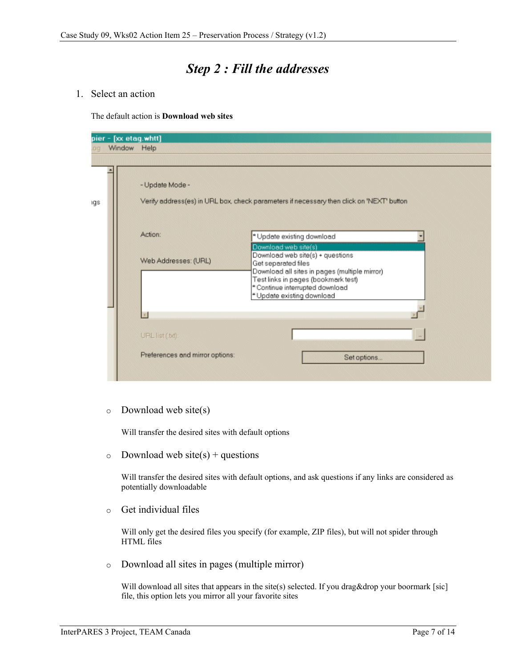## *Step 2 : Fill the addresses*

1. Select an action

The default action is **Download web sites**

|     | pier - [xx etag.whtt] |                                                    |                                                                                                                                                                                                                                                                                                                                                                    |  |  |  |
|-----|-----------------------|----------------------------------------------------|--------------------------------------------------------------------------------------------------------------------------------------------------------------------------------------------------------------------------------------------------------------------------------------------------------------------------------------------------------------------|--|--|--|
|     | Window Help           |                                                    |                                                                                                                                                                                                                                                                                                                                                                    |  |  |  |
|     |                       |                                                    |                                                                                                                                                                                                                                                                                                                                                                    |  |  |  |
| ıgs |                       | - Update Mode -<br>Action:<br>Web Addresses: (URL) | Verify address(es) in URL box, check parameters if necessary then click on 'NEXT' button<br>* Update existing download<br>Download web site(s)<br>Download web site(s) + questions<br>Get separated files<br>Download all sites in pages (multiple mirror)<br>Test links in pages (bookmark test)<br>* Continue interrupted download<br>* Update existing download |  |  |  |
|     |                       |                                                    |                                                                                                                                                                                                                                                                                                                                                                    |  |  |  |
|     |                       | URL list (.bd):                                    |                                                                                                                                                                                                                                                                                                                                                                    |  |  |  |
|     |                       | Preferences and mirror options:                    | Set options                                                                                                                                                                                                                                                                                                                                                        |  |  |  |

 $\circ$  Download web site(s)

Will transfer the desired sites with default options

 $\circ$  Download web site(s) + questions

Will transfer the desired sites with default options, and ask questions if any links are considered as potentially downloadable

o Get individual files

Will only get the desired files you specify (for example, ZIP files), but will not spider through HTML files

o Download all sites in pages (multiple mirror)

Will download all sites that appears in the site(s) selected. If you drag&drop your boormark [sic] file, this option lets you mirror all your favorite sites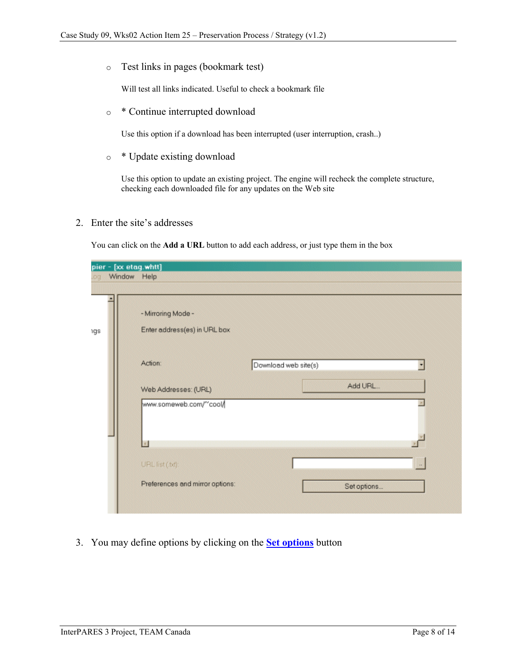o Test links in pages (bookmark test)

Will test all links indicated. Useful to check a bookmark file

o \* Continue interrupted download

Use this option if a download has been interrupted (user interruption, crash..)

o \* Update existing download

Use this option to update an existing project. The engine will recheck the complete structure, checking each downloaded file for any updates on the Web site

2. Enter the site's addresses

You can click on the **Add a URL** button to add each address, or just type them in the box

|     | pier - [xx etag.whtt] |                                                    |                      |             |    |
|-----|-----------------------|----------------------------------------------------|----------------------|-------------|----|
| .oq | Window Help           |                                                    |                      |             |    |
|     |                       |                                                    |                      |             |    |
| ١gs |                       | - Mirroring Mode -<br>Enter address(es) in URL box |                      |             |    |
|     |                       | Action:                                            | Download web site(s) |             |    |
|     |                       |                                                    |                      |             |    |
|     |                       | Web Addresses: (URL)                               |                      | Add URL     |    |
|     |                       | www.someweb.com/"cool/                             |                      |             |    |
|     |                       |                                                    |                      |             |    |
|     |                       | URL list (.bd):                                    |                      |             | ÷. |
|     |                       | Preferences and mirror options:                    |                      | Set options |    |
|     |                       |                                                    |                      |             |    |

3. You may define options by clicking on the **[Set options](http://www.httrack.com/html/step9.html)** button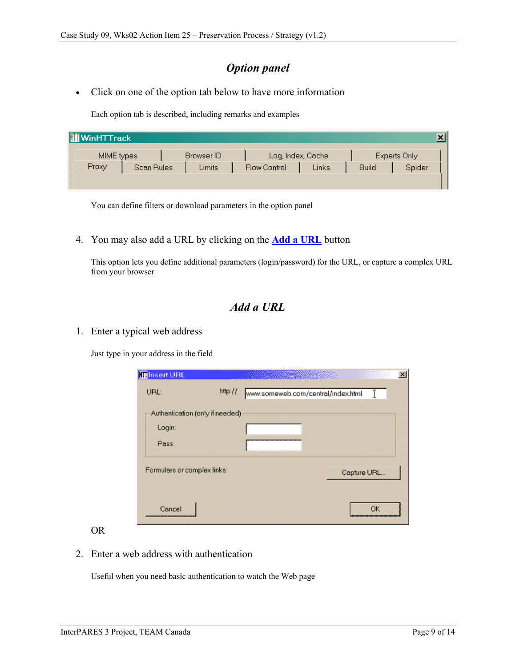## *Option panel*

• Click on one of the option tab below to have more information

Each option tab is described, including remarks and examples

| <b>WinHTTrack</b> |            |            |              |                   |              |              |  |
|-------------------|------------|------------|--------------|-------------------|--------------|--------------|--|
| MIME types        |            | Browser ID |              | Log, Index, Cache |              | Experts Only |  |
| Proxy             | Scan Rules | Limits     | Flow Control | Links             | <b>Build</b> | Spider       |  |
|                   |            |            |              |                   |              |              |  |

You can define filters or download parameters in the option panel

4. You may also add a URL by clicking on the **[Add a URL](http://www.httrack.com/html/addurl.html)** button

This option lets you define additional parameters (login/password) for the URL, or capture a complex URL from your browser

## *Add a URL*

1. Enter a typical web address

Just type in your address in the field

| <b>Inlasert URL</b>             | <u>an any kaominina </u>           |  |
|---------------------------------|------------------------------------|--|
| http://<br>URL:                 | www.someweb.com/central/index.html |  |
| Authentication (only if needed) |                                    |  |
| Login:                          |                                    |  |
| Pass:                           |                                    |  |
| Formulars or complex links:     | Capture URL                        |  |
| Cancel                          | ΩK                                 |  |

### OR

2. Enter a web address with authentication

Useful when you need basic authentication to watch the Web page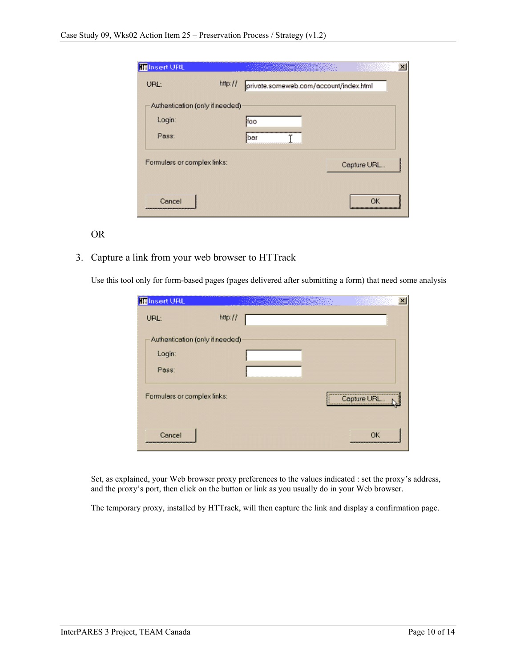| <b>Inlasert URL</b>             |         | <u> Martin Martin San San Tinggara ng Pangangang Pangangang Pangangang Pangangang Pangangang Pangangang Pangang</u> |             | × |
|---------------------------------|---------|---------------------------------------------------------------------------------------------------------------------|-------------|---|
| URL:                            | http:// | private.someweb.com/account/index.html                                                                              |             |   |
| Authentication (only if needed) |         |                                                                                                                     |             |   |
| Login:                          |         | lfoo                                                                                                                |             |   |
| Pass:                           |         | lbar                                                                                                                |             |   |
| Formulars or complex links:     |         |                                                                                                                     | Capture URL |   |
| Cancel                          |         |                                                                                                                     |             |   |

#### OR

3. Capture a link from your web browser to HTTrack

Use this tool only for form-based pages (pages delivered after submitting a form) that need some analysis

| <b>III</b> Insert URL           |         | $\times$     |
|---------------------------------|---------|--------------|
| URL:                            | http:// |              |
| Authentication (only if needed) |         |              |
| Login:                          |         |              |
| Pass:                           |         |              |
| Formulars or complex links:     |         | Capture URL. |
| Cancel                          |         | ΩK           |

Set, as explained, your Web browser proxy preferences to the values indicated : set the proxy's address, and the proxy's port, then click on the button or link as you usually do in your Web browser.

The temporary proxy, installed by HTTrack, will then capture the link and display a confirmation page.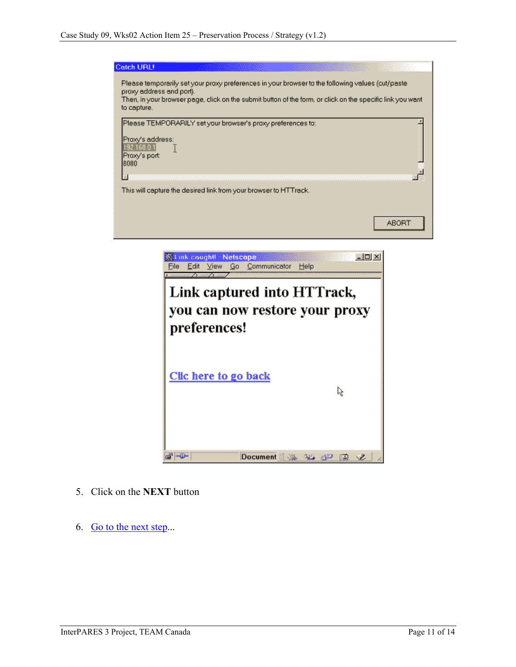| Catch URL!                                            |                                                                                                                                                                                                                |                   |
|-------------------------------------------------------|----------------------------------------------------------------------------------------------------------------------------------------------------------------------------------------------------------------|-------------------|
| proxy address and port).<br>to capture.               | Please temporarily set your proxy preferences in your browser to the following values (cut/paste<br>Then, in your browser page, click on the submit button of the form, or click on the specific link you want |                   |
| Proxy's address:<br>92.168.0<br>Proxy's port:<br>8080 | Please TEMPORARILY set your browser's proxy preferences to:                                                                                                                                                    |                   |
|                                                       |                                                                                                                                                                                                                |                   |
|                                                       | This will capture the desired link from your browser to HTTrack.                                                                                                                                               |                   |
|                                                       |                                                                                                                                                                                                                | ABOR <sub>1</sub> |
|                                                       | 纸 Link caught! - Netscape                                                                                                                                                                                      | $  C  \times$     |
|                                                       | Communicator<br>File<br>Help<br>Edit<br>View<br>Go<br>$\frac{1}{2}$ . The second state $\frac{1}{2}$                                                                                                           |                   |



- 5. Click on the **NEXT** button
- 6. [Go to the next step.](http://www.httrack.com/html/step3.html)..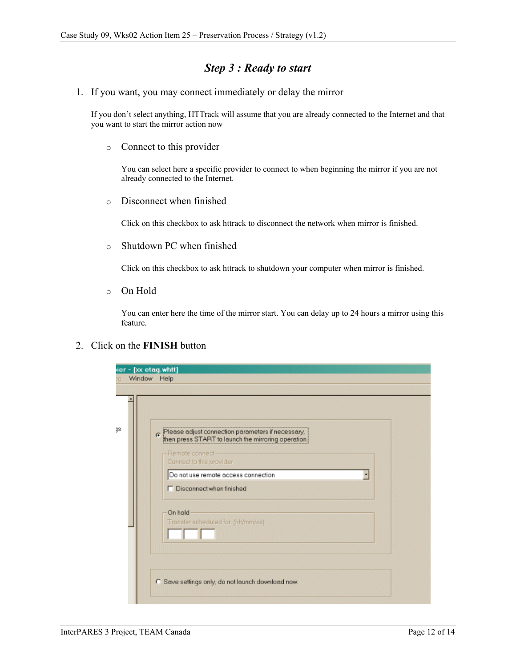## *Step 3 : Ready to start*

1. If you want, you may connect immediately or delay the mirror

If you don't select anything, HTTrack will assume that you are already connected to the Internet and that you want to start the mirror action now

o Connect to this provider

You can select here a specific provider to connect to when beginning the mirror if you are not already connected to the Internet.

o Disconnect when finished

Click on this checkbox to ask httrack to disconnect the network when mirror is finished.

o Shutdown PC when finished

Click on this checkbox to ask httrack to shutdown your computer when mirror is finished.

o On Hold

You can enter here the time of the mirror start. You can delay up to 24 hours a mirror using this feature.

#### 2. Click on the **FINISH** button

| ier - [xx etag.whtt]<br>Window Help                                                                                                                                                                                                                                                         |  |
|---------------------------------------------------------------------------------------------------------------------------------------------------------------------------------------------------------------------------------------------------------------------------------------------|--|
| Please adjust connection parameters if necessary.<br>then press START to launch the mirroring operation.<br>$\epsilon$<br>Remote connect-<br>Connect to this provider<br>Do not use remote access connection<br>□ Disconnect when finished<br>On hold<br>Transfer scheduled for. (hh/mm/ss) |  |
| C Save settings only, do not launch download now.                                                                                                                                                                                                                                           |  |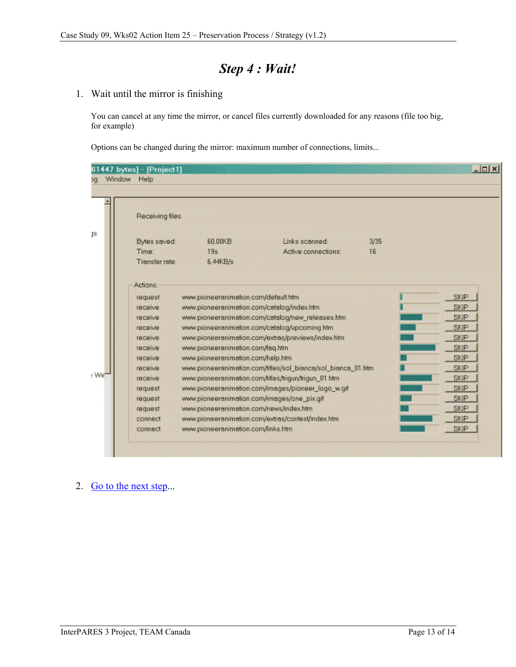# *Step 4 : Wait!*

### 1. Wait until the mirror is finishing

You can cancel at any time the mirror, or cancel files currently downloaded for any reasons (file too big, for example)

Options can be changed during the mirror: maximum number of connections, limits...

|           |        | 61447 bytes] - [Project1] |                                             |                                                              | mmmm |  |             | $ \Box$ $\times$ |
|-----------|--------|---------------------------|---------------------------------------------|--------------------------------------------------------------|------|--|-------------|------------------|
| <b>DC</b> | Window | Help                      |                                             |                                                              |      |  |             |                  |
|           |        |                           |                                             |                                                              |      |  |             |                  |
|           |        | Receiving files.          |                                             |                                                              |      |  |             |                  |
| 18        |        | Bytes saved:              | 60.00KB                                     | Links scanned:                                               | 3/35 |  |             |                  |
|           |        | Time:                     | 19s                                         | Active connections:                                          | 16   |  |             |                  |
|           |        | Transfer rate:            | 6.44KB/s                                    |                                                              |      |  |             |                  |
|           |        |                           |                                             |                                                              |      |  |             |                  |
|           |        | Actions:                  |                                             |                                                              |      |  |             |                  |
|           |        | request                   | www.pioneeranimation.com/default.htm        |                                                              |      |  | <b>SKIP</b> |                  |
|           |        | receive                   | www.pioneeranimation.com/catalog/index.htm  |                                                              |      |  | <b>SKIP</b> |                  |
|           |        | receive                   |                                             | www.pioneeranimation.com/catalog/new_releases.htm            |      |  | <b>SKIP</b> |                  |
|           |        | receive                   |                                             | www.pioneeranimation.com/catalog/upcoming.htm                |      |  | <b>SKIP</b> |                  |
|           |        | receive                   |                                             | www.pioneeranimation.com/extras/previews/index.htm           |      |  | <b>SKIP</b> |                  |
|           |        | receive                   | www.pioneeranimation.com/faq.htm            |                                                              |      |  | <b>SKIP</b> |                  |
| : We      |        | receive                   | www.pioneeranimation.com/help.htm           |                                                              |      |  | <b>SKIP</b> |                  |
|           |        | receive                   |                                             | www.pioneeranimation.com/titles/sol_bianca/sol_bianca_01.htm |      |  | <b>SKIP</b> |                  |
|           |        | receive                   |                                             | www.pioneeranimation.com/titles/trigun/trigun_01.htm         |      |  | <b>SKIP</b> |                  |
|           |        | request                   |                                             | www.pioneeranimation.com/images/pioneer_logo_w.gif           |      |  | <b>SKIP</b> |                  |
|           |        | request                   | www.pioneeranimation.com/images/one_pix.gif |                                                              |      |  | <b>SKIP</b> |                  |
|           |        | request                   | www.pioneeranimation.com/news/index.htm     |                                                              |      |  | <b>SKIP</b> |                  |
|           |        | connect                   |                                             | www.pioneeranimation.com/extras/contest/index.htm            |      |  | <b>SKIP</b> |                  |
|           |        | connect                   | www.pioneeranimation.com/links.htm          |                                                              |      |  | <b>SKIP</b> |                  |
|           |        |                           |                                             |                                                              |      |  |             |                  |
|           |        |                           |                                             |                                                              |      |  |             |                  |

2. [Go to the next step.](http://www.httrack.com/html/step5.html)..